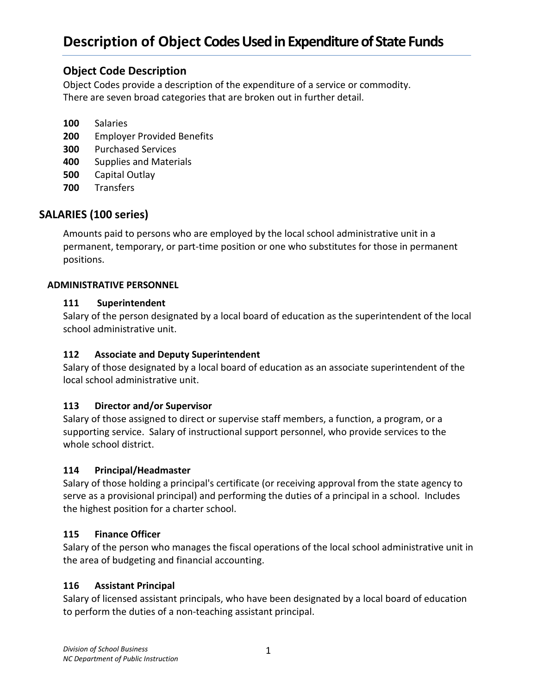# **Object Code Description**

Object Codes provide a description of the expenditure of a service or commodity. There are seven broad categories that are broken out in further detail.

- **100** Salaries
- **200** Employer Provided Benefits
- **300** Purchased Services
- **400** Supplies and Materials
- **500** Capital Outlay
- **700** Transfers

# **SALARIES (100 series)**

Amounts paid to persons who are employed by the local school administrative unit in a permanent, temporary, or part-time position or one who substitutes for those in permanent positions.

#### **ADMINISTRATIVE PERSONNEL**

#### **111 Superintendent**

Salary of the person designated by a local board of education as the superintendent of the local school administrative unit.

#### **112 Associate and Deputy Superintendent**

Salary of those designated by a local board of education as an associate superintendent of the local school administrative unit.

#### **113 Director and/or Supervisor**

Salary of those assigned to direct or supervise staff members, a function, a program, or a supporting service. Salary of instructional support personnel, who provide services to the whole school district.

#### **114 Principal/Headmaster**

Salary of those holding a principal's certificate (or receiving approval from the state agency to serve as a provisional principal) and performing the duties of a principal in a school. Includes the highest position for a charter school.

## **115 Finance Officer**

Salary of the person who manages the fiscal operations of the local school administrative unit in the area of budgeting and financial accounting.

#### **116 Assistant Principal**

Salary of licensed assistant principals, who have been designated by a local board of education to perform the duties of a non-teaching assistant principal.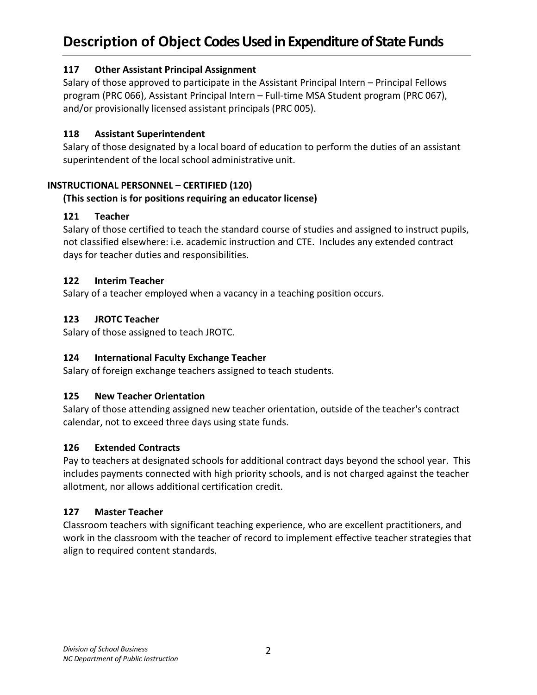## **117 Other Assistant Principal Assignment**

Salary of those approved to participate in the Assistant Principal Intern – Principal Fellows program (PRC 066), Assistant Principal Intern – Full-time MSA Student program (PRC 067), and/or provisionally licensed assistant principals (PRC 005).

## **118 Assistant Superintendent**

Salary of those designated by a local board of education to perform the duties of an assistant superintendent of the local school administrative unit.

# **INSTRUCTIONAL PERSONNEL – CERTIFIED (120)**

# **(This section is for positions requiring an educator license)**

# **121 Teacher**

Salary of those certified to teach the standard course of studies and assigned to instruct pupils, not classified elsewhere: i.e. academic instruction and CTE. Includes any extended contract days for teacher duties and responsibilities.

## **122 Interim Teacher**

Salary of a teacher employed when a vacancy in a teaching position occurs.

# **123 JROTC Teacher**

Salary of those assigned to teach JROTC.

# **124 International Faculty Exchange Teacher**

Salary of foreign exchange teachers assigned to teach students.

## **125 New Teacher Orientation**

Salary of those attending assigned new teacher orientation, outside of the teacher's contract calendar, not to exceed three days using state funds.

# **126 Extended Contracts**

Pay to teachers at designated schools for additional contract days beyond the school year. This includes payments connected with high priority schools, and is not charged against the teacher allotment, nor allows additional certification credit.

## **127 Master Teacher**

Classroom teachers with significant teaching experience, who are excellent practitioners, and work in the classroom with the teacher of record to implement effective teacher strategies that align to required content standards.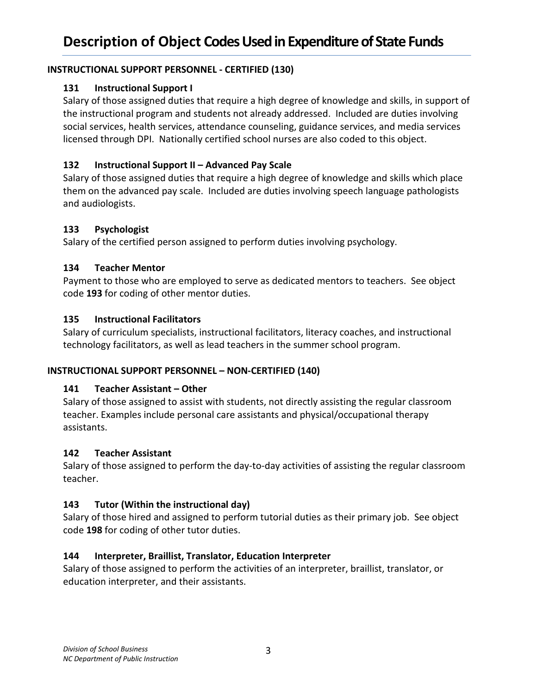## **INSTRUCTIONAL SUPPORT PERSONNEL - CERTIFIED (130)**

### **131 Instructional Support I**

Salary of those assigned duties that require a high degree of knowledge and skills, in support of the instructional program and students not already addressed. Included are duties involving social services, health services, attendance counseling, guidance services, and media services licensed through DPI. Nationally certified school nurses are also coded to this object.

## **132 Instructional Support II – Advanced Pay Scale**

Salary of those assigned duties that require a high degree of knowledge and skills which place them on the advanced pay scale. Included are duties involving speech language pathologists and audiologists.

## **133 Psychologist**

Salary of the certified person assigned to perform duties involving psychology.

## **134 Teacher Mentor**

Payment to those who are employed to serve as dedicated mentors to teachers. See object code **193** for coding of other mentor duties.

#### **135 Instructional Facilitators**

Salary of curriculum specialists, instructional facilitators, literacy coaches, and instructional technology facilitators, as well as lead teachers in the summer school program.

#### **INSTRUCTIONAL SUPPORT PERSONNEL – NON-CERTIFIED (140)**

## **141 Teacher Assistant – Other**

Salary of those assigned to assist with students, not directly assisting the regular classroom teacher. Examples include personal care assistants and physical/occupational therapy assistants.

#### **142 Teacher Assistant**

Salary of those assigned to perform the day-to-day activities of assisting the regular classroom teacher.

## **143 Tutor (Within the instructional day)**

Salary of those hired and assigned to perform tutorial duties as their primary job. See object code **198** for coding of other tutor duties.

## **144 Interpreter, Braillist, Translator, Education Interpreter**

Salary of those assigned to perform the activities of an interpreter, braillist, translator, or education interpreter, and their assistants.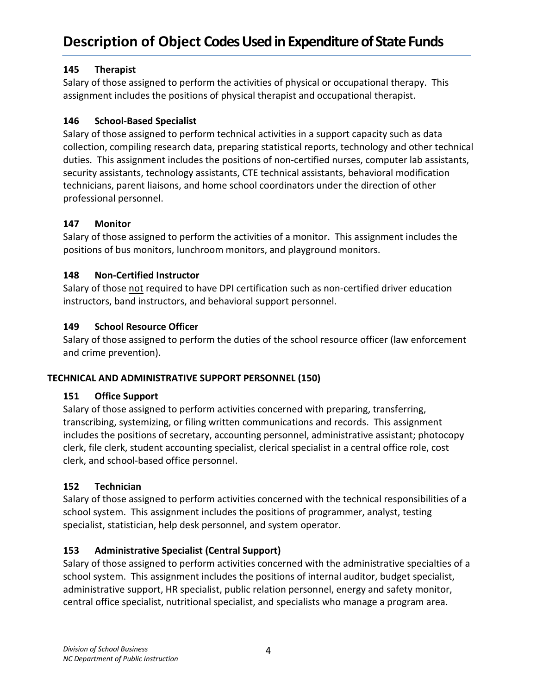# **145 Therapist**

Salary of those assigned to perform the activities of physical or occupational therapy. This assignment includes the positions of physical therapist and occupational therapist.

# **146 School-Based Specialist**

Salary of those assigned to perform technical activities in a support capacity such as data collection, compiling research data, preparing statistical reports, technology and other technical duties. This assignment includes the positions of non-certified nurses, computer lab assistants, security assistants, technology assistants, CTE technical assistants, behavioral modification technicians, parent liaisons, and home school coordinators under the direction of other professional personnel.

## **147 Monitor**

Salary of those assigned to perform the activities of a monitor. This assignment includes the positions of bus monitors, lunchroom monitors, and playground monitors.

## **148 Non-Certified Instructor**

Salary of those not required to have DPI certification such as non-certified driver education instructors, band instructors, and behavioral support personnel.

# **149 School Resource Officer**

Salary of those assigned to perform the duties of the school resource officer (law enforcement and crime prevention).

## **TECHNICAL AND ADMINISTRATIVE SUPPORT PERSONNEL (150)**

## **151 Office Support**

Salary of those assigned to perform activities concerned with preparing, transferring, transcribing, systemizing, or filing written communications and records. This assignment includes the positions of secretary, accounting personnel, administrative assistant; photocopy clerk, file clerk, student accounting specialist, clerical specialist in a central office role, cost clerk, and school-based office personnel.

## **152 Technician**

Salary of those assigned to perform activities concerned with the technical responsibilities of a school system. This assignment includes the positions of programmer, analyst, testing specialist, statistician, help desk personnel, and system operator.

# **153 Administrative Specialist (Central Support)**

Salary of those assigned to perform activities concerned with the administrative specialties of a school system. This assignment includes the positions of internal auditor, budget specialist, administrative support, HR specialist, public relation personnel, energy and safety monitor, central office specialist, nutritional specialist, and specialists who manage a program area.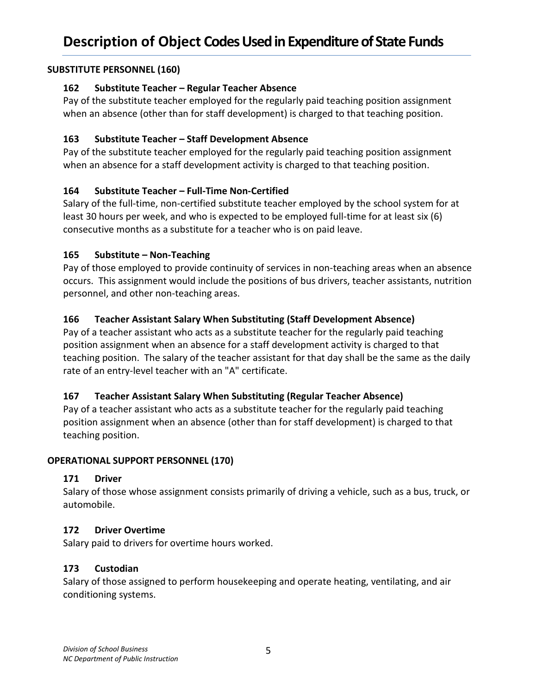## **SUBSTITUTE PERSONNEL (160)**

#### **162 Substitute Teacher – Regular Teacher Absence**

Pay of the substitute teacher employed for the regularly paid teaching position assignment when an absence (other than for staff development) is charged to that teaching position.

### **163 Substitute Teacher – Staff Development Absence**

Pay of the substitute teacher employed for the regularly paid teaching position assignment when an absence for a staff development activity is charged to that teaching position.

## **164 Substitute Teacher – Full-Time Non-Certified**

Salary of the full-time, non-certified substitute teacher employed by the school system for at least 30 hours per week, and who is expected to be employed full-time for at least six (6) consecutive months as a substitute for a teacher who is on paid leave.

#### **165 Substitute – Non-Teaching**

Pay of those employed to provide continuity of services in non-teaching areas when an absence occurs. This assignment would include the positions of bus drivers, teacher assistants, nutrition personnel, and other non-teaching areas.

## **166 Teacher Assistant Salary When Substituting (Staff Development Absence)**

Pay of a teacher assistant who acts as a substitute teacher for the regularly paid teaching position assignment when an absence for a staff development activity is charged to that teaching position. The salary of the teacher assistant for that day shall be the same as the daily rate of an entry-level teacher with an "A" certificate.

## **167 Teacher Assistant Salary When Substituting (Regular Teacher Absence)**

Pay of a teacher assistant who acts as a substitute teacher for the regularly paid teaching position assignment when an absence (other than for staff development) is charged to that teaching position.

#### **OPERATIONAL SUPPORT PERSONNEL (170)**

#### **171 Driver**

Salary of those whose assignment consists primarily of driving a vehicle, such as a bus, truck, or automobile.

## **172 Driver Overtime**

Salary paid to drivers for overtime hours worked.

#### **173 Custodian**

Salary of those assigned to perform housekeeping and operate heating, ventilating, and air conditioning systems.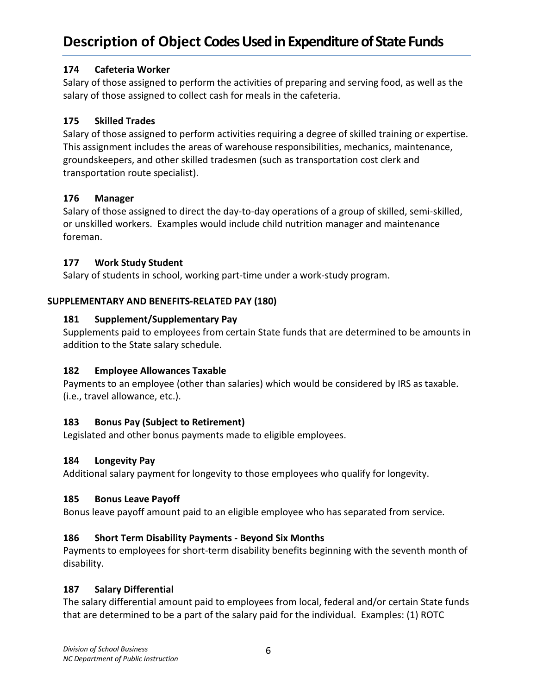## **174 Cafeteria Worker**

Salary of those assigned to perform the activities of preparing and serving food, as well as the salary of those assigned to collect cash for meals in the cafeteria.

### **175 Skilled Trades**

Salary of those assigned to perform activities requiring a degree of skilled training or expertise. This assignment includes the areas of warehouse responsibilities, mechanics, maintenance, groundskeepers, and other skilled tradesmen (such as transportation cost clerk and transportation route specialist).

#### **176 Manager**

Salary of those assigned to direct the day-to-day operations of a group of skilled, semi-skilled, or unskilled workers. Examples would include child nutrition manager and maintenance foreman.

## **177 Work Study Student**

Salary of students in school, working part-time under a work-study program.

## **SUPPLEMENTARY AND BENEFITS-RELATED PAY (180)**

## **181 Supplement/Supplementary Pay**

Supplements paid to employees from certain State funds that are determined to be amounts in addition to the State salary schedule.

#### **182 Employee Allowances Taxable**

Payments to an employee (other than salaries) which would be considered by IRS as taxable. (i.e., travel allowance, etc.).

#### **183 Bonus Pay (Subject to Retirement)**

Legislated and other bonus payments made to eligible employees.

#### **184 Longevity Pay**

Additional salary payment for longevity to those employees who qualify for longevity.

#### **185 Bonus Leave Payoff**

Bonus leave payoff amount paid to an eligible employee who has separated from service.

## **186 Short Term Disability Payments - Beyond Six Months**

Payments to employees for short-term disability benefits beginning with the seventh month of disability.

## **187 Salary Differential**

The salary differential amount paid to employees from local, federal and/or certain State funds that are determined to be a part of the salary paid for the individual. Examples: (1) ROTC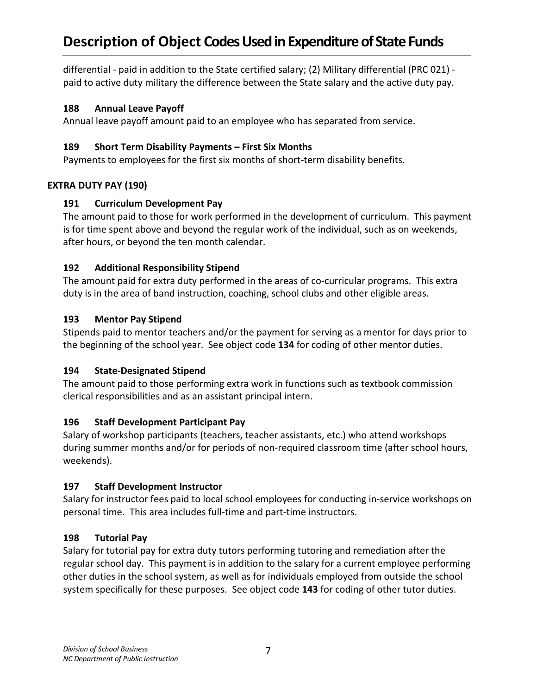differential - paid in addition to the State certified salary; (2) Military differential (PRC 021) paid to active duty military the difference between the State salary and the active duty pay.

## **188 Annual Leave Payoff**

Annual leave payoff amount paid to an employee who has separated from service.

## **189 Short Term Disability Payments – First Six Months**

Payments to employees for the first six months of short-term disability benefits.

# **EXTRA DUTY PAY (190)**

## **191 Curriculum Development Pay**

The amount paid to those for work performed in the development of curriculum. This payment is for time spent above and beyond the regular work of the individual, such as on weekends, after hours, or beyond the ten month calendar.

# **192 Additional Responsibility Stipend**

The amount paid for extra duty performed in the areas of co-curricular programs. This extra duty is in the area of band instruction, coaching, school clubs and other eligible areas.

# **193 Mentor Pay Stipend**

Stipends paid to mentor teachers and/or the payment for serving as a mentor for days prior to the beginning of the school year. See object code **134** for coding of other mentor duties.

## **194 State-Designated Stipend**

The amount paid to those performing extra work in functions such as textbook commission clerical responsibilities and as an assistant principal intern.

# **196 Staff Development Participant Pay**

Salary of workshop participants (teachers, teacher assistants, etc.) who attend workshops during summer months and/or for periods of non-required classroom time (after school hours, weekends).

## **197 Staff Development Instructor**

Salary for instructor fees paid to local school employees for conducting in-service workshops on personal time. This area includes full-time and part-time instructors.

## **198 Tutorial Pay**

Salary for tutorial pay for extra duty tutors performing tutoring and remediation after the regular school day. This payment is in addition to the salary for a current employee performing other duties in the school system, as well as for individuals employed from outside the school system specifically for these purposes. See object code **143** for coding of other tutor duties.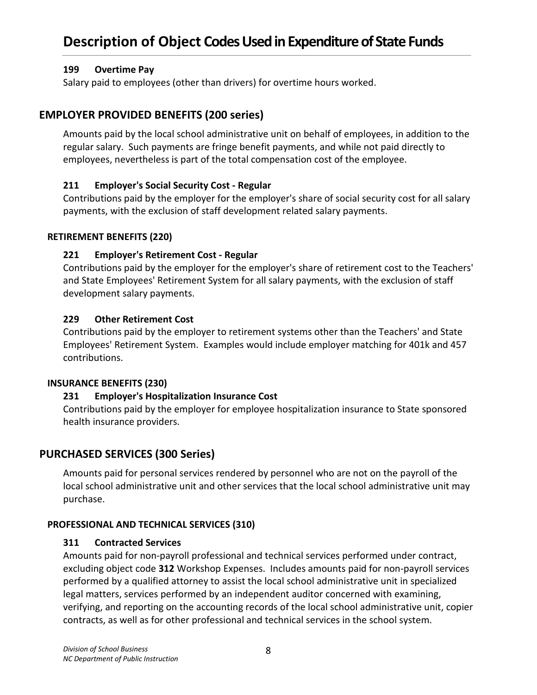#### **199 Overtime Pay**

Salary paid to employees (other than drivers) for overtime hours worked.

## **EMPLOYER PROVIDED BENEFITS (200 series)**

Amounts paid by the local school administrative unit on behalf of employees, in addition to the regular salary. Such payments are fringe benefit payments, and while not paid directly to employees, nevertheless is part of the total compensation cost of the employee.

#### **211 Employer's Social Security Cost - Regular**

Contributions paid by the employer for the employer's share of social security cost for all salary payments, with the exclusion of staff development related salary payments.

#### **RETIREMENT BENEFITS (220)**

#### **221 Employer's Retirement Cost - Regular**

Contributions paid by the employer for the employer's share of retirement cost to the Teachers' and State Employees' Retirement System for all salary payments, with the exclusion of staff development salary payments.

#### **229 Other Retirement Cost**

Contributions paid by the employer to retirement systems other than the Teachers' and State Employees' Retirement System. Examples would include employer matching for 401k and 457 contributions.

#### **INSURANCE BENEFITS (230)**

#### **231 Employer's Hospitalization Insurance Cost**

Contributions paid by the employer for employee hospitalization insurance to State sponsored health insurance providers.

## **PURCHASED SERVICES (300 Series)**

Amounts paid for personal services rendered by personnel who are not on the payroll of the local school administrative unit and other services that the local school administrative unit may purchase.

#### **PROFESSIONAL AND TECHNICAL SERVICES (310)**

#### **311 Contracted Services**

Amounts paid for non-payroll professional and technical services performed under contract, excluding object code **312** Workshop Expenses. Includes amounts paid for non-payroll services performed by a qualified attorney to assist the local school administrative unit in specialized legal matters, services performed by an independent auditor concerned with examining, verifying, and reporting on the accounting records of the local school administrative unit, copier contracts, as well as for other professional and technical services in the school system.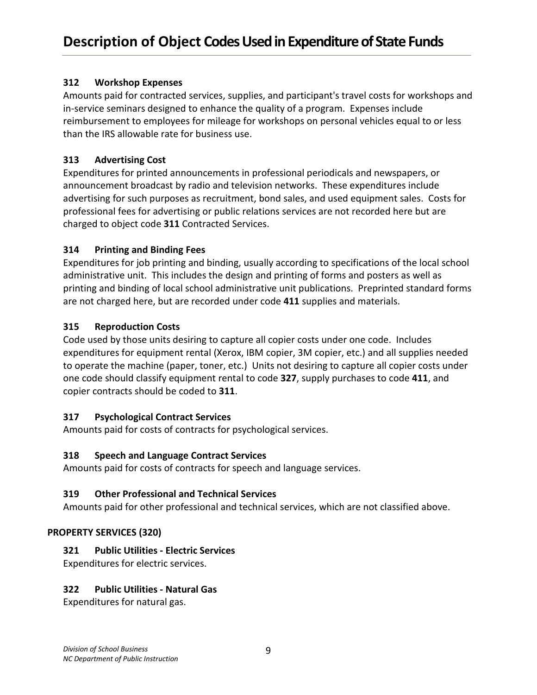## **312 Workshop Expenses**

Amounts paid for contracted services, supplies, and participant's travel costs for workshops and in-service seminars designed to enhance the quality of a program. Expenses include reimbursement to employees for mileage for workshops on personal vehicles equal to or less than the IRS allowable rate for business use.

### **313 Advertising Cost**

Expenditures for printed announcements in professional periodicals and newspapers, or announcement broadcast by radio and television networks. These expenditures include advertising for such purposes as recruitment, bond sales, and used equipment sales. Costs for professional fees for advertising or public relations services are not recorded here but are charged to object code **311** Contracted Services.

#### **314 Printing and Binding Fees**

Expenditures for job printing and binding, usually according to specifications of the local school administrative unit. This includes the design and printing of forms and posters as well as printing and binding of local school administrative unit publications. Preprinted standard forms are not charged here, but are recorded under code **411** supplies and materials.

#### **315 Reproduction Costs**

Code used by those units desiring to capture all copier costs under one code. Includes expenditures for equipment rental (Xerox, IBM copier, 3M copier, etc.) and all supplies needed to operate the machine (paper, toner, etc.) Units not desiring to capture all copier costs under one code should classify equipment rental to code **327**, supply purchases to code **411**, and copier contracts should be coded to **311**.

#### **317 Psychological Contract Services**

Amounts paid for costs of contracts for psychological services.

#### **318 Speech and Language Contract Services**

Amounts paid for costs of contracts for speech and language services.

#### **319 Other Professional and Technical Services**

Amounts paid for other professional and technical services, which are not classified above.

#### **PROPERTY SERVICES (320)**

#### **321 Public Utilities - Electric Services**

Expenditures for electric services.

#### **322 Public Utilities - Natural Gas**

Expenditures for natural gas.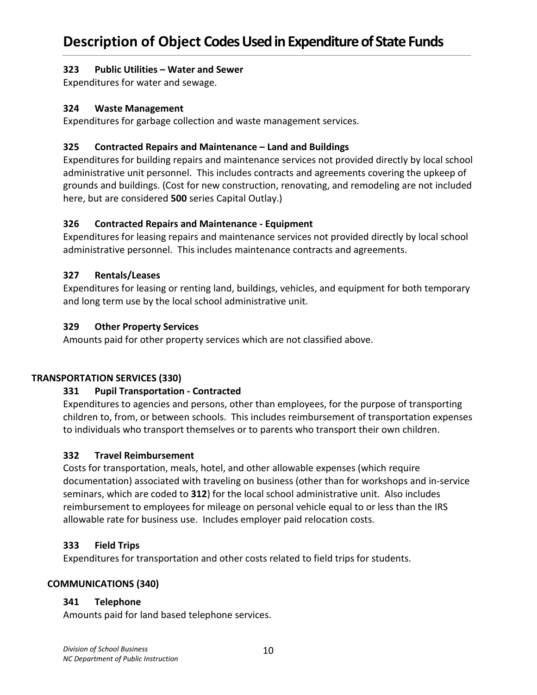### **323 Public Utilities – Water and Sewer**

Expenditures for water and sewage.

#### **324 Waste Management**

Expenditures for garbage collection and waste management services.

#### **325 Contracted Repairs and Maintenance – Land and Buildings**

Expenditures for building repairs and maintenance services not provided directly by local school administrative unit personnel. This includes contracts and agreements covering the upkeep of grounds and buildings. (Cost for new construction, renovating, and remodeling are not included here, but are considered **500** series Capital Outlay.)

#### **326 Contracted Repairs and Maintenance - Equipment**

Expenditures for leasing repairs and maintenance services not provided directly by local school administrative personnel. This includes maintenance contracts and agreements.

#### **327 Rentals/Leases**

Expenditures for leasing or renting land, buildings, vehicles, and equipment for both temporary and long term use by the local school administrative unit.

#### **329 Other Property Services**

Amounts paid for other property services which are not classified above.

#### **TRANSPORTATION SERVICES (330)**

#### **331 Pupil Transportation - Contracted**

Expenditures to agencies and persons, other than employees, for the purpose of transporting children to, from, or between schools. This includes reimbursement of transportation expenses to individuals who transport themselves or to parents who transport their own children.

#### **332 Travel Reimbursement**

Costs for transportation, meals, hotel, and other allowable expenses (which require documentation) associated with traveling on business (other than for workshops and in-service seminars, which are coded to **312**) for the local school administrative unit. Also includes reimbursement to employees for mileage on personal vehicle equal to or less than the IRS allowable rate for business use. Includes employer paid relocation costs.

#### **333 Field Trips**

Expenditures for transportation and other costs related to field trips for students.

#### **COMMUNICATIONS (340)**

#### **341 Telephone**

Amounts paid for land based telephone services.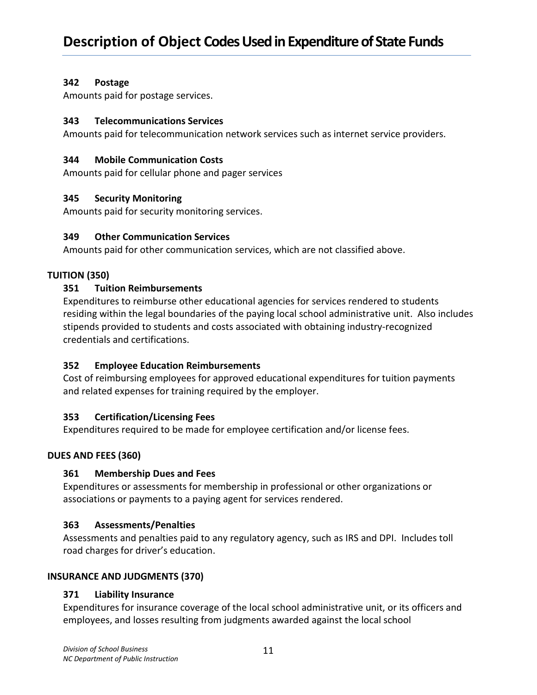#### **342 Postage**

Amounts paid for postage services.

#### **343 Telecommunications Services**

Amounts paid for telecommunication network services such as internet service providers.

#### **344 Mobile Communication Costs**

Amounts paid for cellular phone and pager services

#### **345 Security Monitoring**

Amounts paid for security monitoring services.

#### **349 Other Communication Services**

Amounts paid for other communication services, which are not classified above.

#### **TUITION (350)**

#### **351 Tuition Reimbursements**

Expenditures to reimburse other educational agencies for services rendered to students residing within the legal boundaries of the paying local school administrative unit. Also includes stipends provided to students and costs associated with obtaining industry-recognized credentials and certifications.

#### **352 Employee Education Reimbursements**

Cost of reimbursing employees for approved educational expenditures for tuition payments and related expenses for training required by the employer.

#### **353 Certification/Licensing Fees**

Expenditures required to be made for employee certification and/or license fees.

#### **DUES AND FEES (360)**

#### **361 Membership Dues and Fees**

Expenditures or assessments for membership in professional or other organizations or associations or payments to a paying agent for services rendered.

#### **363 Assessments/Penalties**

Assessments and penalties paid to any regulatory agency, such as IRS and DPI. Includes toll road charges for driver's education.

#### **INSURANCE AND JUDGMENTS (370)**

#### **371 Liability Insurance**

Expenditures for insurance coverage of the local school administrative unit, or its officers and employees, and losses resulting from judgments awarded against the local school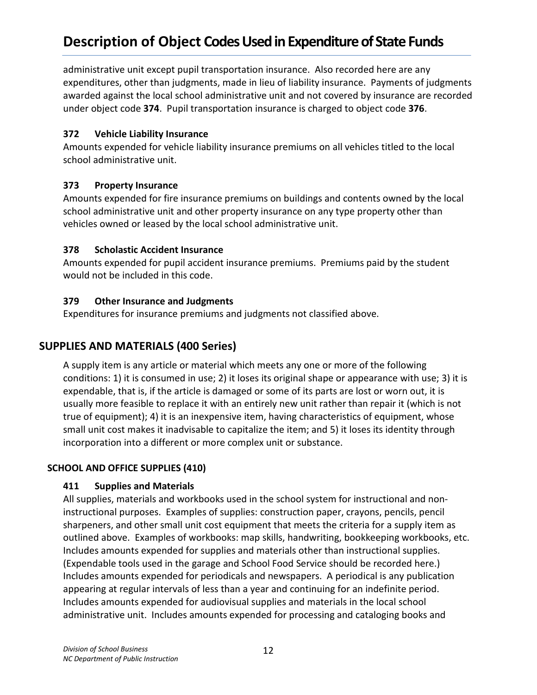administrative unit except pupil transportation insurance. Also recorded here are any expenditures, other than judgments, made in lieu of liability insurance. Payments of judgments awarded against the local school administrative unit and not covered by insurance are recorded under object code **374**. Pupil transportation insurance is charged to object code **376**.

## **372 Vehicle Liability Insurance**

Amounts expended for vehicle liability insurance premiums on all vehicles titled to the local school administrative unit.

## **373 Property Insurance**

Amounts expended for fire insurance premiums on buildings and contents owned by the local school administrative unit and other property insurance on any type property other than vehicles owned or leased by the local school administrative unit.

## **378 Scholastic Accident Insurance**

Amounts expended for pupil accident insurance premiums. Premiums paid by the student would not be included in this code.

# **379 Other Insurance and Judgments**

Expenditures for insurance premiums and judgments not classified above.

# **SUPPLIES AND MATERIALS (400 Series)**

A supply item is any article or material which meets any one or more of the following conditions: 1) it is consumed in use; 2) it loses its original shape or appearance with use; 3) it is expendable, that is, if the article is damaged or some of its parts are lost or worn out, it is usually more feasible to replace it with an entirely new unit rather than repair it (which is not true of equipment); 4) it is an inexpensive item, having characteristics of equipment, whose small unit cost makes it inadvisable to capitalize the item; and 5) it loses its identity through incorporation into a different or more complex unit or substance.

# **SCHOOL AND OFFICE SUPPLIES (410)**

## **411 Supplies and Materials**

All supplies, materials and workbooks used in the school system for instructional and noninstructional purposes. Examples of supplies: construction paper, crayons, pencils, pencil sharpeners, and other small unit cost equipment that meets the criteria for a supply item as outlined above. Examples of workbooks: map skills, handwriting, bookkeeping workbooks, etc. Includes amounts expended for supplies and materials other than instructional supplies. (Expendable tools used in the garage and School Food Service should be recorded here.) Includes amounts expended for periodicals and newspapers. A periodical is any publication appearing at regular intervals of less than a year and continuing for an indefinite period. Includes amounts expended for audiovisual supplies and materials in the local school administrative unit. Includes amounts expended for processing and cataloging books and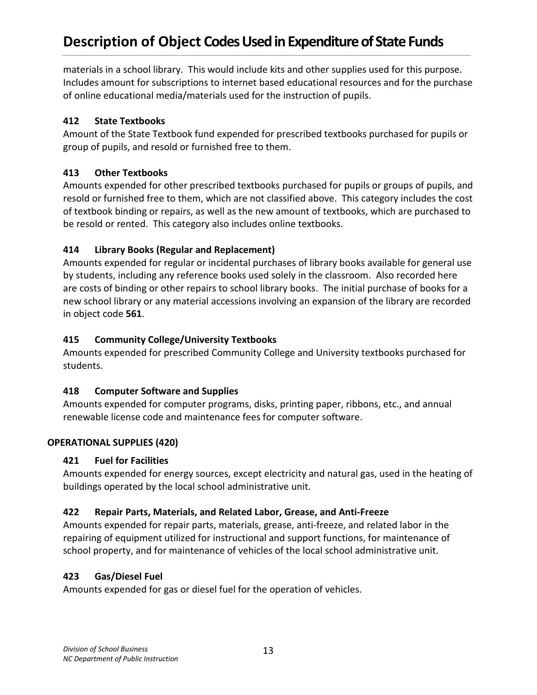materials in a school library. This would include kits and other supplies used for this purpose. Includes amount for subscriptions to internet based educational resources and for the purchase of online educational media/materials used for the instruction of pupils.

## **412 State Textbooks**

Amount of the State Textbook fund expended for prescribed textbooks purchased for pupils or group of pupils, and resold or furnished free to them.

# **413 Other Textbooks**

Amounts expended for other prescribed textbooks purchased for pupils or groups of pupils, and resold or furnished free to them, which are not classified above. This category includes the cost of textbook binding or repairs, as well as the new amount of textbooks, which are purchased to be resold or rented. This category also includes online textbooks.

# **414 Library Books (Regular and Replacement)**

Amounts expended for regular or incidental purchases of library books available for general use by students, including any reference books used solely in the classroom. Also recorded here are costs of binding or other repairs to school library books. The initial purchase of books for a new school library or any material accessions involving an expansion of the library are recorded in object code **561**.

# **415 Community College/University Textbooks**

Amounts expended for prescribed Community College and University textbooks purchased for students.

## **418 Computer Software and Supplies**

Amounts expended for computer programs, disks, printing paper, ribbons, etc., and annual renewable license code and maintenance fees for computer software.

## **OPERATIONAL SUPPLIES (420)**

## **421 Fuel for Facilities**

Amounts expended for energy sources, except electricity and natural gas, used in the heating of buildings operated by the local school administrative unit.

# **422 Repair Parts, Materials, and Related Labor, Grease, and Anti-Freeze**

Amounts expended for repair parts, materials, grease, anti-freeze, and related labor in the repairing of equipment utilized for instructional and support functions, for maintenance of school property, and for maintenance of vehicles of the local school administrative unit.

## **423 Gas/Diesel Fuel**

Amounts expended for gas or diesel fuel for the operation of vehicles.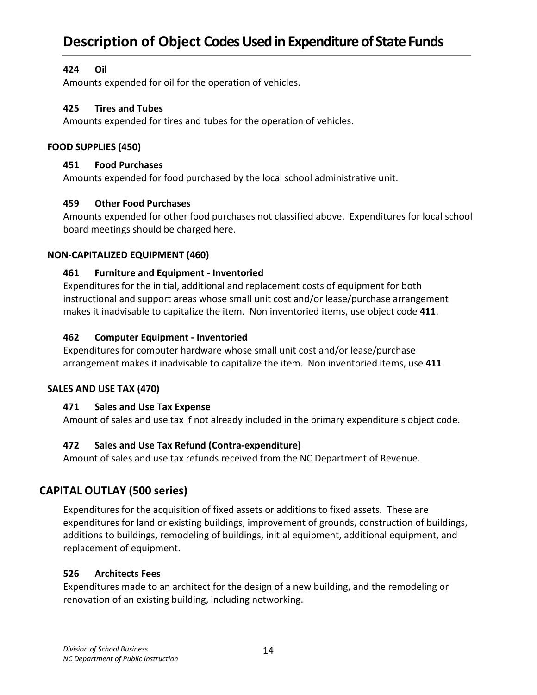## **424 Oil**

Amounts expended for oil for the operation of vehicles.

#### **425 Tires and Tubes**

Amounts expended for tires and tubes for the operation of vehicles.

## **FOOD SUPPLIES (450)**

#### **451 Food Purchases**

Amounts expended for food purchased by the local school administrative unit.

#### **459 Other Food Purchases**

Amounts expended for other food purchases not classified above. Expenditures for local school board meetings should be charged here.

## **NON-CAPITALIZED EQUIPMENT (460)**

## **461 Furniture and Equipment - Inventoried**

Expenditures for the initial, additional and replacement costs of equipment for both instructional and support areas whose small unit cost and/or lease/purchase arrangement makes it inadvisable to capitalize the item. Non inventoried items, use object code **411**.

## **462 Computer Equipment - Inventoried**

Expenditures for computer hardware whose small unit cost and/or lease/purchase arrangement makes it inadvisable to capitalize the item. Non inventoried items, use **411**.

#### **SALES AND USE TAX (470)**

#### **471 Sales and Use Tax Expense**

Amount of sales and use tax if not already included in the primary expenditure's object code.

## **472 Sales and Use Tax Refund (Contra-expenditure)**

Amount of sales and use tax refunds received from the NC Department of Revenue.

# **CAPITAL OUTLAY (500 series)**

Expenditures for the acquisition of fixed assets or additions to fixed assets. These are expenditures for land or existing buildings, improvement of grounds, construction of buildings, additions to buildings, remodeling of buildings, initial equipment, additional equipment, and replacement of equipment.

#### **526 Architects Fees**

Expenditures made to an architect for the design of a new building, and the remodeling or renovation of an existing building, including networking.